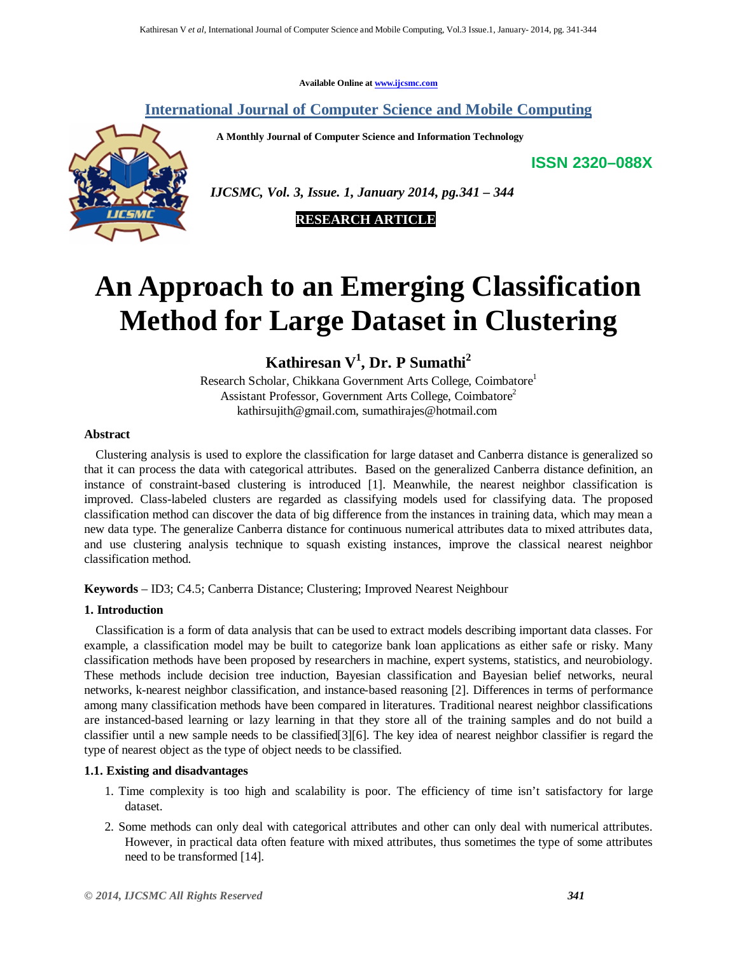**Available Online at www.ijcsmc.com**

**International Journal of Computer Science and Mobile Computing**

 **A Monthly Journal of Computer Science and Information Technology**

**ISSN 2320–088X**



 *IJCSMC, Vol. 3, Issue. 1, January 2014, pg.341 – 344*

 **RESEARCH ARTICLE**

# **An Approach to an Emerging Classification Method for Large Dataset in Clustering**

**Kathiresan V<sup>1</sup> , Dr. P Sumathi<sup>2</sup>**

Research Scholar, Chikkana Government Arts College, Coimbatore<sup>1</sup> Assistant Professor, Government Arts College, Coimbatore<sup>2</sup> kathirsujith@gmail.com, sumathirajes@hotmail.com

# **Abstract**

Clustering analysis is used to explore the classification for large dataset and Canberra distance is generalized so that it can process the data with categorical attributes. Based on the generalized Canberra distance definition, an instance of constraint-based clustering is introduced [1]. Meanwhile, the nearest neighbor classification is improved. Class-labeled clusters are regarded as classifying models used for classifying data. The proposed classification method can discover the data of big difference from the instances in training data, which may mean a new data type. The generalize Canberra distance for continuous numerical attributes data to mixed attributes data, and use clustering analysis technique to squash existing instances, improve the classical nearest neighbor classification method.

**Keywords** – ID3; C4.5; Canberra Distance; Clustering; Improved Nearest Neighbour

# **1. Introduction**

Classification is a form of data analysis that can be used to extract models describing important data classes. For example, a classification model may be built to categorize bank loan applications as either safe or risky. Many classification methods have been proposed by researchers in machine, expert systems, statistics, and neurobiology. These methods include decision tree induction, Bayesian classification and Bayesian belief networks, neural networks, k-nearest neighbor classification, and instance-based reasoning [2]. Differences in terms of performance among many classification methods have been compared in literatures. Traditional nearest neighbor classifications are instanced-based learning or lazy learning in that they store all of the training samples and do not build a classifier until a new sample needs to be classified[3][6]. The key idea of nearest neighbor classifier is regard the type of nearest object as the type of object needs to be classified.

# **1.1. Existing and disadvantages**

- 1. Time complexity is too high and scalability is poor. The efficiency of time isn't satisfactory for large dataset.
- 2. Some methods can only deal with categorical attributes and other can only deal with numerical attributes. However, in practical data often feature with mixed attributes, thus sometimes the type of some attributes need to be transformed [14].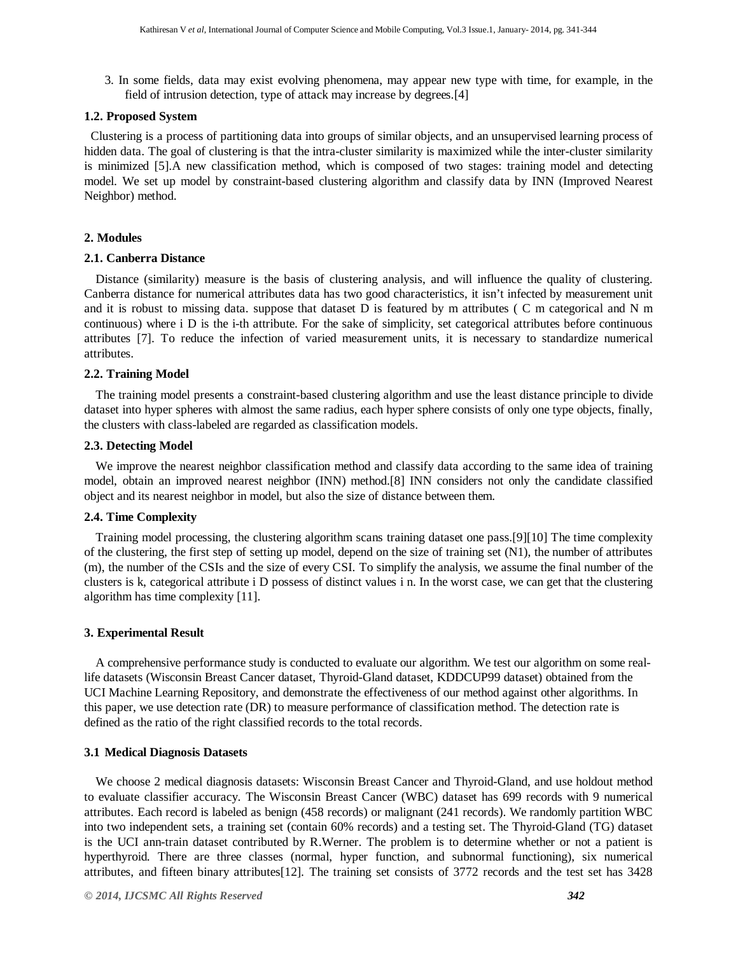3. In some fields, data may exist evolving phenomena, may appear new type with time, for example, in the field of intrusion detection, type of attack may increase by degrees.[4]

#### **1.2. Proposed System**

 Clustering is a process of partitioning data into groups of similar objects, and an unsupervised learning process of hidden data. The goal of clustering is that the intra-cluster similarity is maximized while the inter-cluster similarity is minimized [5].A new classification method, which is composed of two stages: training model and detecting model. We set up model by constraint-based clustering algorithm and classify data by INN (Improved Nearest Neighbor) method.

## **2. Modules**

## **2.1. Canberra Distance**

Distance (similarity) measure is the basis of clustering analysis, and will influence the quality of clustering. Canberra distance for numerical attributes data has two good characteristics, it isn't infected by measurement unit and it is robust to missing data. suppose that dataset D is featured by m attributes ( C m categorical and N m continuous) where i D is the i-th attribute. For the sake of simplicity, set categorical attributes before continuous attributes [7]. To reduce the infection of varied measurement units, it is necessary to standardize numerical attributes.

#### **2.2. Training Model**

The training model presents a constraint-based clustering algorithm and use the least distance principle to divide dataset into hyper spheres with almost the same radius, each hyper sphere consists of only one type objects, finally, the clusters with class-labeled are regarded as classification models.

#### **2.3. Detecting Model**

We improve the nearest neighbor classification method and classify data according to the same idea of training model, obtain an improved nearest neighbor (INN) method.[8] INN considers not only the candidate classified object and its nearest neighbor in model, but also the size of distance between them.

## **2.4. Time Complexity**

Training model processing, the clustering algorithm scans training dataset one pass.[9][10] The time complexity of the clustering, the first step of setting up model, depend on the size of training set (N1), the number of attributes (m), the number of the CSIs and the size of every CSI. To simplify the analysis, we assume the final number of the clusters is k, categorical attribute i D possess of distinct values i n. In the worst case, we can get that the clustering algorithm has time complexity [11].

#### **3. Experimental Result**

A comprehensive performance study is conducted to evaluate our algorithm. We test our algorithm on some reallife datasets (Wisconsin Breast Cancer dataset, Thyroid-Gland dataset, KDDCUP99 dataset) obtained from the UCI Machine Learning Repository, and demonstrate the effectiveness of our method against other algorithms. In this paper, we use detection rate (DR) to measure performance of classification method. The detection rate is defined as the ratio of the right classified records to the total records.

## **3.1 Medical Diagnosis Datasets**

We choose 2 medical diagnosis datasets: Wisconsin Breast Cancer and Thyroid-Gland, and use holdout method to evaluate classifier accuracy. The Wisconsin Breast Cancer (WBC) dataset has 699 records with 9 numerical attributes. Each record is labeled as benign (458 records) or malignant (241 records). We randomly partition WBC into two independent sets, a training set (contain 60% records) and a testing set. The Thyroid-Gland (TG) dataset is the UCI ann-train dataset contributed by R.Werner. The problem is to determine whether or not a patient is hyperthyroid. There are three classes (normal, hyper function, and subnormal functioning), six numerical attributes, and fifteen binary attributes[12]. The training set consists of 3772 records and the test set has 3428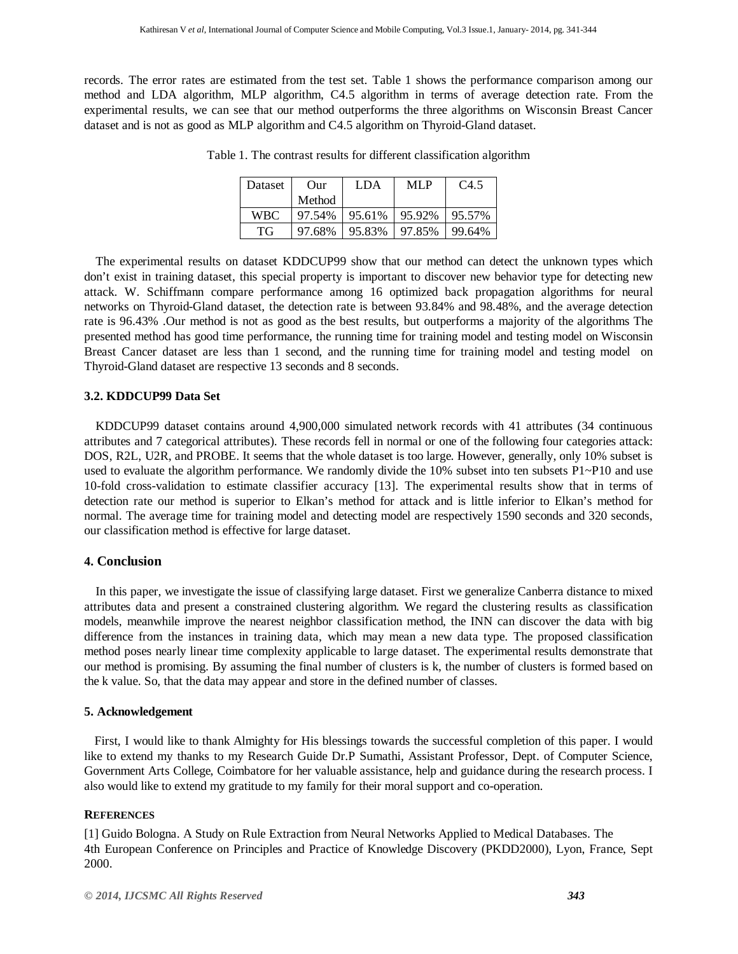records. The error rates are estimated from the test set. Table 1 shows the performance comparison among our method and LDA algorithm, MLP algorithm, C4.5 algorithm in terms of average detection rate. From the experimental results, we can see that our method outperforms the three algorithms on Wisconsin Breast Cancer dataset and is not as good as MLP algorithm and C4.5 algorithm on Thyroid-Gland dataset.

| <b>Dataset</b> | Our    | LDA    | MLP    | C <sub>4.5</sub> |
|----------------|--------|--------|--------|------------------|
|                | Method |        |        |                  |
| WBC.           | 97.54% | 95.61% | 95.92% | 95.57%           |
| TG             | 97.68% | 95.83% | 97.85% | 99.64%           |

Table 1. The contrast results for different classification algorithm

The experimental results on dataset KDDCUP99 show that our method can detect the unknown types which don't exist in training dataset, this special property is important to discover new behavior type for detecting new attack. W. Schiffmann compare performance among 16 optimized back propagation algorithms for neural networks on Thyroid-Gland dataset, the detection rate is between 93.84% and 98.48%, and the average detection rate is 96.43% .Our method is not as good as the best results, but outperforms a majority of the algorithms The presented method has good time performance, the running time for training model and testing model on Wisconsin Breast Cancer dataset are less than 1 second, and the running time for training model and testing model on Thyroid-Gland dataset are respective 13 seconds and 8 seconds.

# **3.2. KDDCUP99 Data Set**

KDDCUP99 dataset contains around 4,900,000 simulated network records with 41 attributes (34 continuous attributes and 7 categorical attributes). These records fell in normal or one of the following four categories attack: DOS, R2L, U2R, and PROBE. It seems that the whole dataset is too large. However, generally, only 10% subset is used to evaluate the algorithm performance. We randomly divide the 10% subset into ten subsets P1~P10 and use 10-fold cross-validation to estimate classifier accuracy [13]. The experimental results show that in terms of detection rate our method is superior to Elkan's method for attack and is little inferior to Elkan's method for normal. The average time for training model and detecting model are respectively 1590 seconds and 320 seconds, our classification method is effective for large dataset.

# **4. Conclusion**

In this paper, we investigate the issue of classifying large dataset. First we generalize Canberra distance to mixed attributes data and present a constrained clustering algorithm. We regard the clustering results as classification models, meanwhile improve the nearest neighbor classification method, the INN can discover the data with big difference from the instances in training data, which may mean a new data type. The proposed classification method poses nearly linear time complexity applicable to large dataset. The experimental results demonstrate that our method is promising. By assuming the final number of clusters is k, the number of clusters is formed based on the k value. So, that the data may appear and store in the defined number of classes.

# **5. Acknowledgement**

First, I would like to thank Almighty for His blessings towards the successful completion of this paper. I would like to extend my thanks to my Research Guide Dr.P Sumathi, Assistant Professor, Dept. of Computer Science, Government Arts College, Coimbatore for her valuable assistance, help and guidance during the research process. I also would like to extend my gratitude to my family for their moral support and co-operation.

# **REFERENCES**

[1] Guido Bologna. A Study on Rule Extraction from Neural Networks Applied to Medical Databases. The 4th European Conference on Principles and Practice of Knowledge Discovery (PKDD2000), Lyon, France, Sept 2000.